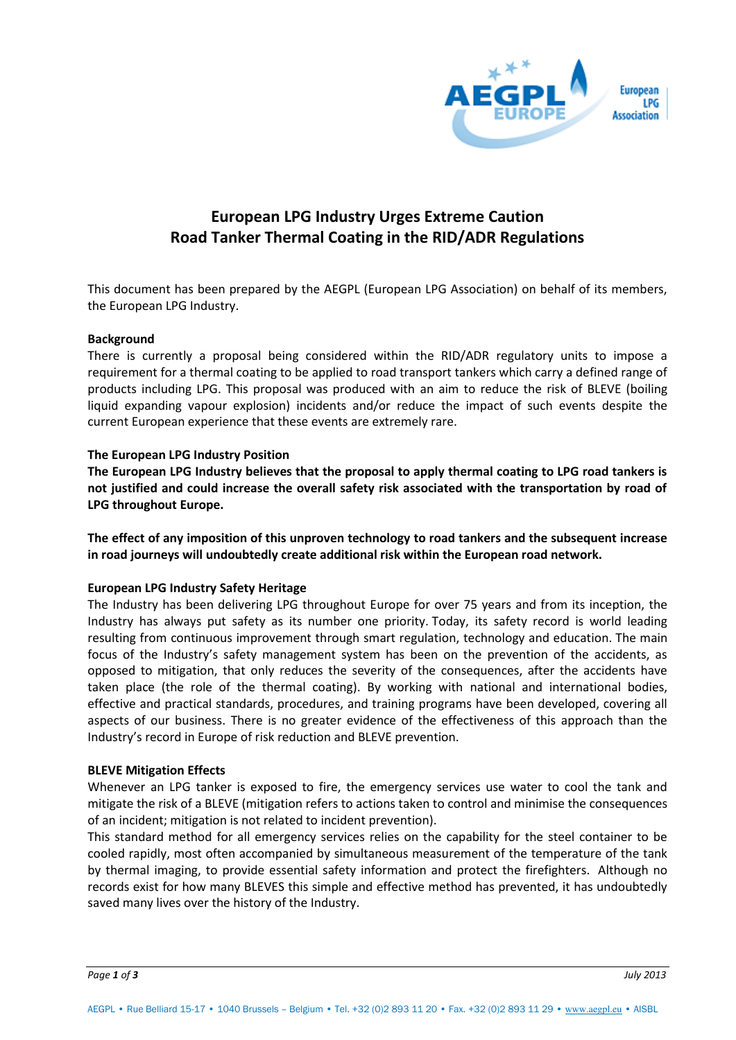

# **European LPG Industry Urges Extreme Caution Road Tanker Thermal Coating in the RID/ADR Regulations**

This document has been prepared by the AEGPL (European LPG Association) on behalf of its members, the European LPG Industry.

## **Background**

There is currently a proposal being considered within the RID/ADR regulatory units to impose a requirement for a thermal coating to be applied to road transport tankers which carry a defined range of products including LPG. This proposal was produced with an aim to reduce the risk of BLEVE (boiling liquid expanding vapour explosion) incidents and/or reduce the impact of such events despite the current European experience that these events are extremely rare.

## **The European LPG Industry Position**

**The European LPG Industry believes that the proposal to apply thermal coating to LPG road tankers is not justified and could increase the overall safety risk associated with the transportation by road of LPG throughout Europe.** 

**The effect of any imposition of this unproven technology to road tankers and the subsequent increase in road journeys will undoubtedly create additional risk within the European road network.** 

# **European LPG Industry Safety Heritage**

The Industry has been delivering LPG throughout Europe for over 75 years and from its inception, the Industry has always put safety as its number one priority. Today, its safety record is world leading resulting from continuous improvement through smart regulation, technology and education. The main focus of the Industry's safety management system has been on the prevention of the accidents, as opposed to mitigation, that only reduces the severity of the consequences, after the accidents have taken place (the role of the thermal coating). By working with national and international bodies, effective and practical standards, procedures, and training programs have been developed, covering all aspects of our business. There is no greater evidence of the effectiveness of this approach than the Industry's record in Europe of risk reduction and BLEVE prevention.

#### **BLEVE Mitigation Effects**

Whenever an LPG tanker is exposed to fire, the emergency services use water to cool the tank and mitigate the risk of a BLEVE (mitigation refers to actions taken to control and minimise the consequences of an incident; mitigation is not related to incident prevention).

This standard method for all emergency services relies on the capability for the steel container to be cooled rapidly, most often accompanied by simultaneous measurement of the temperature of the tank by thermal imaging, to provide essential safety information and protect the firefighters. Although no records exist for how many BLEVES this simple and effective method has prevented, it has undoubtedly saved many lives over the history of the Industry.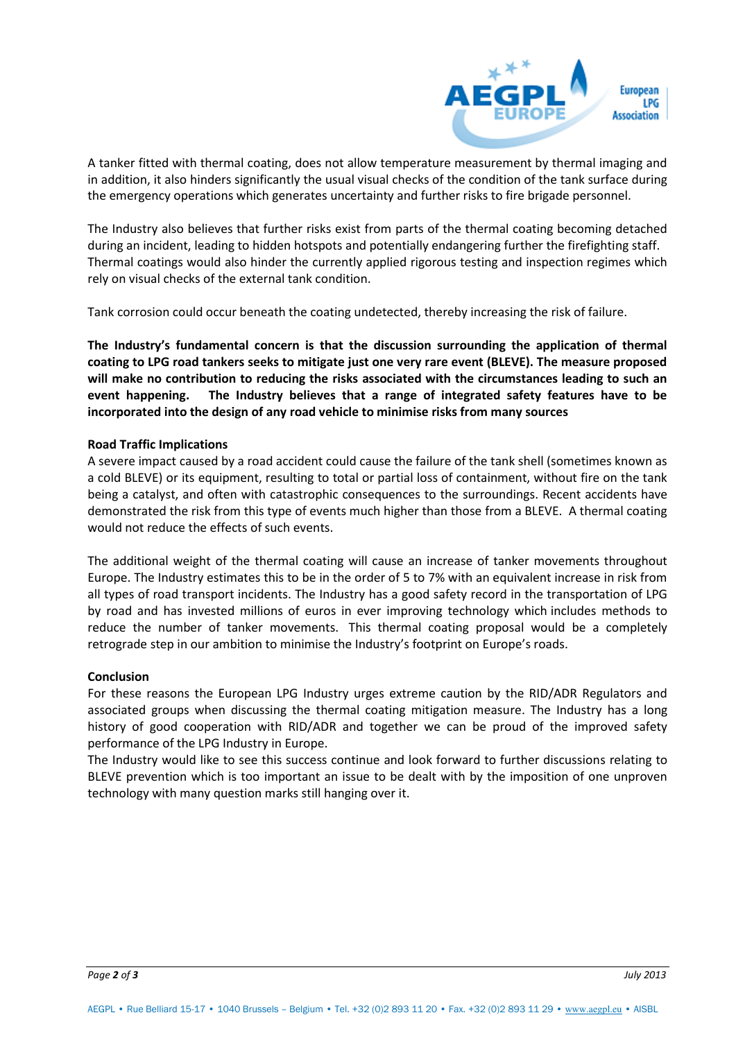

A tanker fitted with thermal coating, does not allow temperature measurement by thermal imaging and in addition, it also hinders significantly the usual visual checks of the condition of the tank surface during the emergency operations which generates uncertainty and further risks to fire brigade personnel.

The Industry also believes that further risks exist from parts of the thermal coating becoming detached during an incident, leading to hidden hotspots and potentially endangering further the firefighting staff. Thermal coatings would also hinder the currently applied rigorous testing and inspection regimes which rely on visual checks of the external tank condition.

Tank corrosion could occur beneath the coating undetected, thereby increasing the risk of failure.

**The Industry's fundamental concern is that the discussion surrounding the application of thermal coating to LPG road tankers seeks to mitigate just one very rare event (BLEVE). The measure proposed will make no contribution to reducing the risks associated with the circumstances leading to such an event happening. The Industry believes that a range of integrated safety features have to be incorporated into the design of any road vehicle to minimise risks from many sources** 

## **Road Traffic Implications**

A severe impact caused by a road accident could cause the failure of the tank shell (sometimes known as a cold BLEVE) or its equipment, resulting to total or partial loss of containment, without fire on the tank being a catalyst, and often with catastrophic consequences to the surroundings. Recent accidents have demonstrated the risk from this type of events much higher than those from a BLEVE. A thermal coating would not reduce the effects of such events.

The additional weight of the thermal coating will cause an increase of tanker movements throughout Europe. The Industry estimates this to be in the order of 5 to 7% with an equivalent increase in risk from all types of road transport incidents. The Industry has a good safety record in the transportation of LPG by road and has invested millions of euros in ever improving technology which includes methods to reduce the number of tanker movements. This thermal coating proposal would be a completely retrograde step in our ambition to minimise the Industry's footprint on Europe's roads.

#### **Conclusion**

For these reasons the European LPG Industry urges extreme caution by the RID/ADR Regulators and associated groups when discussing the thermal coating mitigation measure. The Industry has a long history of good cooperation with RID/ADR and together we can be proud of the improved safety performance of the LPG Industry in Europe.

The Industry would like to see this success continue and look forward to further discussions relating to BLEVE prevention which is too important an issue to be dealt with by the imposition of one unproven technology with many question marks still hanging over it.